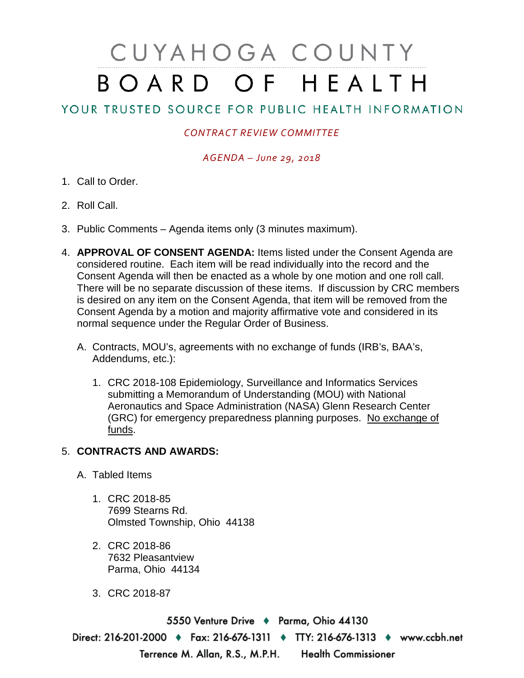# CUYAHOGA COUNTY BOARD OF HEALTH

# YOUR TRUSTED SOURCE FOR PUBLIC HEALTH INFORMATION

## *CONTRACT REVIEW COMMITTEE*

### *AGENDA – June 29, 2018*

- 1. Call to Order.
- 2. Roll Call.
- 3. Public Comments Agenda items only (3 minutes maximum).
- 4. **APPROVAL OF CONSENT AGENDA:** Items listed under the Consent Agenda are considered routine. Each item will be read individually into the record and the Consent Agenda will then be enacted as a whole by one motion and one roll call. There will be no separate discussion of these items. If discussion by CRC members is desired on any item on the Consent Agenda, that item will be removed from the Consent Agenda by a motion and majority affirmative vote and considered in its normal sequence under the Regular Order of Business.
	- A. Contracts, MOU's, agreements with no exchange of funds (IRB's, BAA's, Addendums, etc.):
		- 1. CRC 2018-108 Epidemiology, Surveillance and Informatics Services submitting a Memorandum of Understanding (MOU) with National Aeronautics and Space Administration (NASA) Glenn Research Center (GRC) for emergency preparedness planning purposes. No exchange of funds.

### 5. **CONTRACTS AND AWARDS:**

- A. Tabled Items
	- 1. CRC 2018-85 7699 Stearns Rd. Olmsted Township, Ohio 44138
	- 2. CRC 2018-86 7632 Pleasantview Parma, Ohio 44134
	- 3. CRC 2018-87

5550 Venture Drive + Parma, Ohio 44130 Direct: 216-201-2000 • Fax: 216-676-1311 • TTY: 216-676-1313 • www.ccbh.net Terrence M. Allan, R.S., M.P.H. Health Commissioner